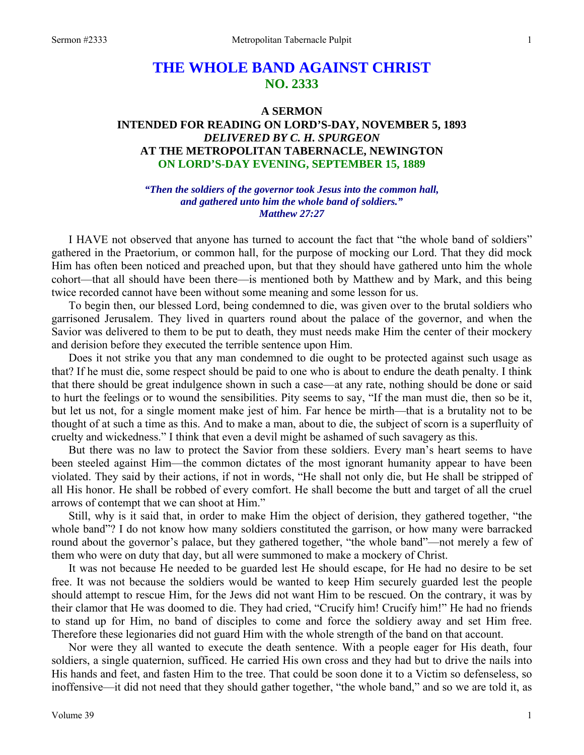# **THE WHOLE BAND AGAINST CHRIST NO. 2333**

## **A SERMON INTENDED FOR READING ON LORD'S-DAY, NOVEMBER 5, 1893**  *DELIVERED BY C. H. SPURGEON*  **AT THE METROPOLITAN TABERNACLE, NEWINGTON ON LORD'S-DAY EVENING, SEPTEMBER 15, 1889**

*"Then the soldiers of the governor took Jesus into the common hall, and gathered unto him the whole band of soldiers." Matthew 27:27* 

I HAVE not observed that anyone has turned to account the fact that "the whole band of soldiers" gathered in the Praetorium, or common hall, for the purpose of mocking our Lord. That they did mock Him has often been noticed and preached upon, but that they should have gathered unto him the whole cohort—that all should have been there—is mentioned both by Matthew and by Mark, and this being twice recorded cannot have been without some meaning and some lesson for us.

To begin then, our blessed Lord, being condemned to die, was given over to the brutal soldiers who garrisoned Jerusalem. They lived in quarters round about the palace of the governor, and when the Savior was delivered to them to be put to death, they must needs make Him the center of their mockery and derision before they executed the terrible sentence upon Him.

Does it not strike you that any man condemned to die ought to be protected against such usage as that? If he must die, some respect should be paid to one who is about to endure the death penalty. I think that there should be great indulgence shown in such a case—at any rate, nothing should be done or said to hurt the feelings or to wound the sensibilities. Pity seems to say, "If the man must die, then so be it, but let us not, for a single moment make jest of him. Far hence be mirth—that is a brutality not to be thought of at such a time as this. And to make a man, about to die, the subject of scorn is a superfluity of cruelty and wickedness." I think that even a devil might be ashamed of such savagery as this.

But there was no law to protect the Savior from these soldiers. Every man's heart seems to have been steeled against Him—the common dictates of the most ignorant humanity appear to have been violated. They said by their actions, if not in words, "He shall not only die, but He shall be stripped of all His honor. He shall be robbed of every comfort. He shall become the butt and target of all the cruel arrows of contempt that we can shoot at Him."

Still, why is it said that, in order to make Him the object of derision, they gathered together, "the whole band"? I do not know how many soldiers constituted the garrison, or how many were barracked round about the governor's palace, but they gathered together, "the whole band"—not merely a few of them who were on duty that day, but all were summoned to make a mockery of Christ.

It was not because He needed to be guarded lest He should escape, for He had no desire to be set free. It was not because the soldiers would be wanted to keep Him securely guarded lest the people should attempt to rescue Him, for the Jews did not want Him to be rescued. On the contrary, it was by their clamor that He was doomed to die. They had cried, "Crucify him! Crucify him!" He had no friends to stand up for Him, no band of disciples to come and force the soldiery away and set Him free. Therefore these legionaries did not guard Him with the whole strength of the band on that account.

Nor were they all wanted to execute the death sentence. With a people eager for His death, four soldiers, a single quaternion, sufficed. He carried His own cross and they had but to drive the nails into His hands and feet, and fasten Him to the tree. That could be soon done it to a Victim so defenseless, so inoffensive—it did not need that they should gather together, "the whole band," and so we are told it, as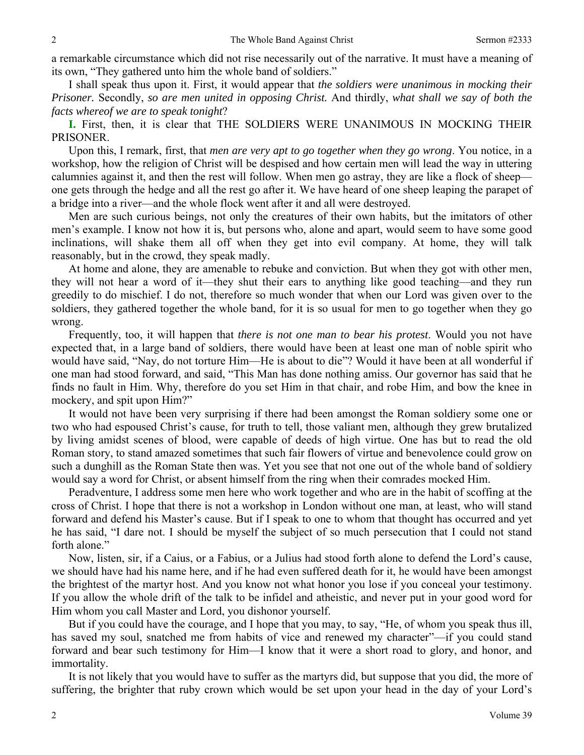a remarkable circumstance which did not rise necessarily out of the narrative. It must have a meaning of its own, "They gathered unto him the whole band of soldiers."

I shall speak thus upon it. First, it would appear that *the soldiers were unanimous in mocking their Prisoner.* Secondly, *so are men united in opposing Christ.* And thirdly, *what shall we say of both the facts whereof we are to speak tonight*?

**I.** First, then, it is clear that THE SOLDIERS WERE UNANIMOUS IN MOCKING THEIR PRISONER.

Upon this, I remark, first, that *men are very apt to go together when they go wrong*. You notice, in a workshop, how the religion of Christ will be despised and how certain men will lead the way in uttering calumnies against it, and then the rest will follow. When men go astray, they are like a flock of sheep one gets through the hedge and all the rest go after it. We have heard of one sheep leaping the parapet of a bridge into a river—and the whole flock went after it and all were destroyed.

Men are such curious beings, not only the creatures of their own habits, but the imitators of other men's example. I know not how it is, but persons who, alone and apart, would seem to have some good inclinations, will shake them all off when they get into evil company. At home, they will talk reasonably, but in the crowd, they speak madly.

At home and alone, they are amenable to rebuke and conviction. But when they got with other men, they will not hear a word of it—they shut their ears to anything like good teaching—and they run greedily to do mischief. I do not, therefore so much wonder that when our Lord was given over to the soldiers, they gathered together the whole band, for it is so usual for men to go together when they go wrong.

Frequently, too, it will happen that *there is not one man to bear his protest*. Would you not have expected that, in a large band of soldiers, there would have been at least one man of noble spirit who would have said, "Nay, do not torture Him—He is about to die"? Would it have been at all wonderful if one man had stood forward, and said, "This Man has done nothing amiss. Our governor has said that he finds no fault in Him. Why, therefore do you set Him in that chair, and robe Him, and bow the knee in mockery, and spit upon Him?"

It would not have been very surprising if there had been amongst the Roman soldiery some one or two who had espoused Christ's cause, for truth to tell, those valiant men, although they grew brutalized by living amidst scenes of blood, were capable of deeds of high virtue. One has but to read the old Roman story, to stand amazed sometimes that such fair flowers of virtue and benevolence could grow on such a dunghill as the Roman State then was. Yet you see that not one out of the whole band of soldiery would say a word for Christ, or absent himself from the ring when their comrades mocked Him.

Peradventure, I address some men here who work together and who are in the habit of scoffing at the cross of Christ. I hope that there is not a workshop in London without one man, at least, who will stand forward and defend his Master's cause. But if I speak to one to whom that thought has occurred and yet he has said, "I dare not. I should be myself the subject of so much persecution that I could not stand forth alone."

Now, listen, sir, if a Caius, or a Fabius, or a Julius had stood forth alone to defend the Lord's cause, we should have had his name here, and if he had even suffered death for it, he would have been amongst the brightest of the martyr host. And you know not what honor you lose if you conceal your testimony. If you allow the whole drift of the talk to be infidel and atheistic, and never put in your good word for Him whom you call Master and Lord, you dishonor yourself.

But if you could have the courage, and I hope that you may, to say, "He, of whom you speak thus ill, has saved my soul, snatched me from habits of vice and renewed my character"—if you could stand forward and bear such testimony for Him—I know that it were a short road to glory, and honor, and immortality.

It is not likely that you would have to suffer as the martyrs did, but suppose that you did, the more of suffering, the brighter that ruby crown which would be set upon your head in the day of your Lord's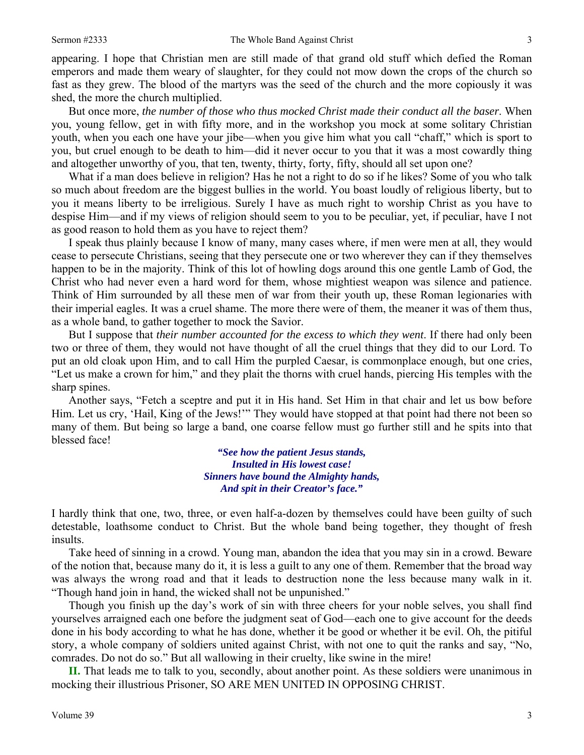appearing. I hope that Christian men are still made of that grand old stuff which defied the Roman emperors and made them weary of slaughter, for they could not mow down the crops of the church so fast as they grew. The blood of the martyrs was the seed of the church and the more copiously it was shed, the more the church multiplied.

But once more, *the number of those who thus mocked Christ made their conduct all the baser*. When you, young fellow, get in with fifty more, and in the workshop you mock at some solitary Christian youth, when you each one have your jibe—when you give him what you call "chaff," which is sport to you, but cruel enough to be death to him—did it never occur to you that it was a most cowardly thing and altogether unworthy of you, that ten, twenty, thirty, forty, fifty, should all set upon one?

What if a man does believe in religion? Has he not a right to do so if he likes? Some of you who talk so much about freedom are the biggest bullies in the world. You boast loudly of religious liberty, but to you it means liberty to be irreligious. Surely I have as much right to worship Christ as you have to despise Him—and if my views of religion should seem to you to be peculiar, yet, if peculiar, have I not as good reason to hold them as you have to reject them?

I speak thus plainly because I know of many, many cases where, if men were men at all, they would cease to persecute Christians, seeing that they persecute one or two wherever they can if they themselves happen to be in the majority. Think of this lot of howling dogs around this one gentle Lamb of God, the Christ who had never even a hard word for them, whose mightiest weapon was silence and patience. Think of Him surrounded by all these men of war from their youth up, these Roman legionaries with their imperial eagles. It was a cruel shame. The more there were of them, the meaner it was of them thus, as a whole band, to gather together to mock the Savior.

But I suppose that *their number accounted for the excess to which they went*. If there had only been two or three of them, they would not have thought of all the cruel things that they did to our Lord. To put an old cloak upon Him, and to call Him the purpled Caesar, is commonplace enough, but one cries, "Let us make a crown for him," and they plait the thorns with cruel hands, piercing His temples with the sharp spines.

Another says, "Fetch a sceptre and put it in His hand. Set Him in that chair and let us bow before Him. Let us cry, 'Hail, King of the Jews!'" They would have stopped at that point had there not been so many of them. But being so large a band, one coarse fellow must go further still and he spits into that blessed face!

> *"See how the patient Jesus stands, Insulted in His lowest case! Sinners have bound the Almighty hands, And spit in their Creator's face."*

I hardly think that one, two, three, or even half-a-dozen by themselves could have been guilty of such detestable, loathsome conduct to Christ. But the whole band being together, they thought of fresh insults.

Take heed of sinning in a crowd. Young man, abandon the idea that you may sin in a crowd. Beware of the notion that, because many do it, it is less a guilt to any one of them. Remember that the broad way was always the wrong road and that it leads to destruction none the less because many walk in it. "Though hand join in hand, the wicked shall not be unpunished."

Though you finish up the day's work of sin with three cheers for your noble selves, you shall find yourselves arraigned each one before the judgment seat of God—each one to give account for the deeds done in his body according to what he has done, whether it be good or whether it be evil. Oh, the pitiful story, a whole company of soldiers united against Christ, with not one to quit the ranks and say, "No, comrades. Do not do so." But all wallowing in their cruelty, like swine in the mire!

**II.** That leads me to talk to you, secondly, about another point. As these soldiers were unanimous in mocking their illustrious Prisoner, SO ARE MEN UNITED IN OPPOSING CHRIST.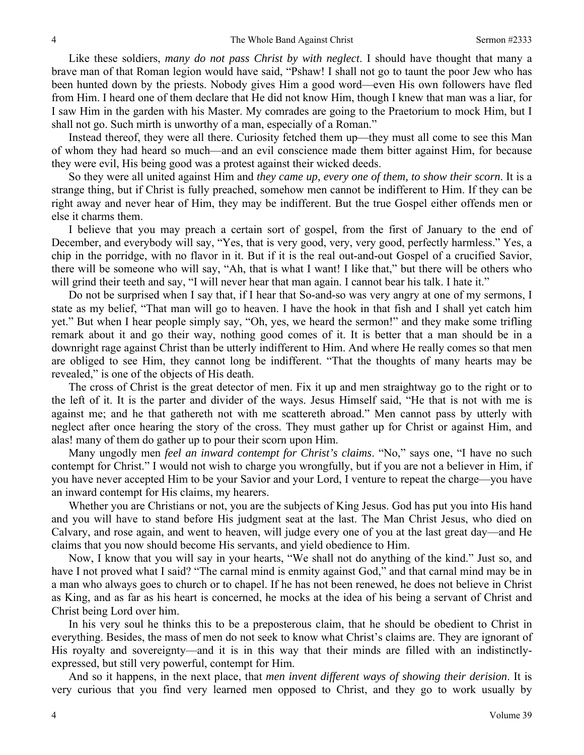Like these soldiers, *many do not pass Christ by with neglect*. I should have thought that many a brave man of that Roman legion would have said, "Pshaw! I shall not go to taunt the poor Jew who has been hunted down by the priests. Nobody gives Him a good word—even His own followers have fled from Him. I heard one of them declare that He did not know Him, though I knew that man was a liar, for I saw Him in the garden with his Master. My comrades are going to the Praetorium to mock Him, but I shall not go. Such mirth is unworthy of a man, especially of a Roman."

Instead thereof, they were all there. Curiosity fetched them up—they must all come to see this Man of whom they had heard so much—and an evil conscience made them bitter against Him, for because they were evil, His being good was a protest against their wicked deeds.

So they were all united against Him and *they came up, every one of them, to show their scorn*. It is a strange thing, but if Christ is fully preached, somehow men cannot be indifferent to Him. If they can be right away and never hear of Him, they may be indifferent. But the true Gospel either offends men or else it charms them.

I believe that you may preach a certain sort of gospel, from the first of January to the end of December, and everybody will say, "Yes, that is very good, very, very good, perfectly harmless." Yes, a chip in the porridge, with no flavor in it. But if it is the real out-and-out Gospel of a crucified Savior, there will be someone who will say, "Ah, that is what I want! I like that," but there will be others who will grind their teeth and say, "I will never hear that man again. I cannot bear his talk. I hate it."

Do not be surprised when I say that, if I hear that So-and-so was very angry at one of my sermons, I state as my belief, "That man will go to heaven. I have the hook in that fish and I shall yet catch him yet." But when I hear people simply say, "Oh, yes, we heard the sermon!" and they make some trifling remark about it and go their way, nothing good comes of it. It is better that a man should be in a downright rage against Christ than be utterly indifferent to Him. And where He really comes so that men are obliged to see Him, they cannot long be indifferent. "That the thoughts of many hearts may be revealed," is one of the objects of His death.

The cross of Christ is the great detector of men. Fix it up and men straightway go to the right or to the left of it. It is the parter and divider of the ways. Jesus Himself said, "He that is not with me is against me; and he that gathereth not with me scattereth abroad." Men cannot pass by utterly with neglect after once hearing the story of the cross. They must gather up for Christ or against Him, and alas! many of them do gather up to pour their scorn upon Him.

Many ungodly men *feel an inward contempt for Christ's claims*. "No," says one, "I have no such contempt for Christ." I would not wish to charge you wrongfully, but if you are not a believer in Him, if you have never accepted Him to be your Savior and your Lord, I venture to repeat the charge—you have an inward contempt for His claims, my hearers.

Whether you are Christians or not, you are the subjects of King Jesus. God has put you into His hand and you will have to stand before His judgment seat at the last. The Man Christ Jesus, who died on Calvary, and rose again, and went to heaven, will judge every one of you at the last great day—and He claims that you now should become His servants, and yield obedience to Him.

Now, I know that you will say in your hearts, "We shall not do anything of the kind." Just so, and have I not proved what I said? "The carnal mind is enmity against God," and that carnal mind may be in a man who always goes to church or to chapel. If he has not been renewed, he does not believe in Christ as King, and as far as his heart is concerned, he mocks at the idea of his being a servant of Christ and Christ being Lord over him.

In his very soul he thinks this to be a preposterous claim, that he should be obedient to Christ in everything. Besides, the mass of men do not seek to know what Christ's claims are. They are ignorant of His royalty and sovereignty—and it is in this way that their minds are filled with an indistinctlyexpressed, but still very powerful, contempt for Him.

And so it happens, in the next place, that *men invent different ways of showing their derision*. It is very curious that you find very learned men opposed to Christ, and they go to work usually by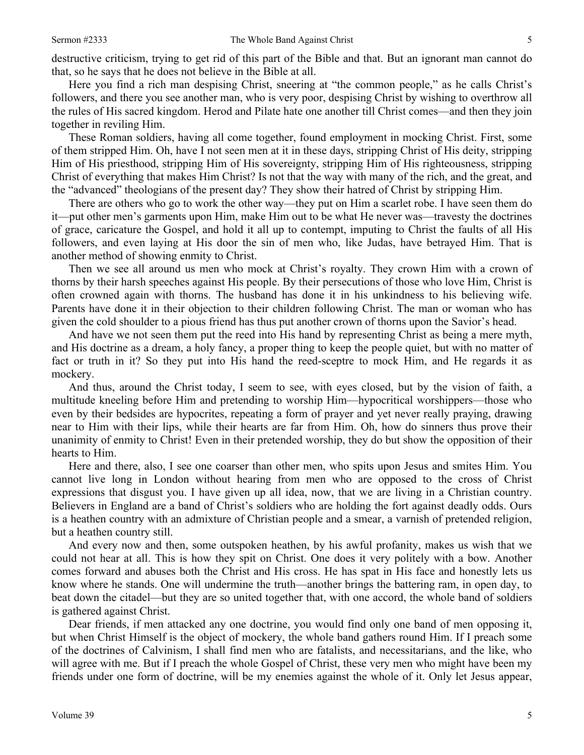destructive criticism, trying to get rid of this part of the Bible and that. But an ignorant man cannot do that, so he says that he does not believe in the Bible at all.

Here you find a rich man despising Christ, sneering at "the common people," as he calls Christ's followers, and there you see another man, who is very poor, despising Christ by wishing to overthrow all the rules of His sacred kingdom. Herod and Pilate hate one another till Christ comes—and then they join together in reviling Him.

These Roman soldiers, having all come together, found employment in mocking Christ. First, some of them stripped Him. Oh, have I not seen men at it in these days, stripping Christ of His deity, stripping Him of His priesthood, stripping Him of His sovereignty, stripping Him of His righteousness, stripping Christ of everything that makes Him Christ? Is not that the way with many of the rich, and the great, and the "advanced" theologians of the present day? They show their hatred of Christ by stripping Him.

There are others who go to work the other way—they put on Him a scarlet robe. I have seen them do it—put other men's garments upon Him, make Him out to be what He never was—travesty the doctrines of grace, caricature the Gospel, and hold it all up to contempt, imputing to Christ the faults of all His followers, and even laying at His door the sin of men who, like Judas, have betrayed Him. That is another method of showing enmity to Christ.

Then we see all around us men who mock at Christ's royalty. They crown Him with a crown of thorns by their harsh speeches against His people. By their persecutions of those who love Him, Christ is often crowned again with thorns. The husband has done it in his unkindness to his believing wife. Parents have done it in their objection to their children following Christ. The man or woman who has given the cold shoulder to a pious friend has thus put another crown of thorns upon the Savior's head.

And have we not seen them put the reed into His hand by representing Christ as being a mere myth, and His doctrine as a dream, a holy fancy, a proper thing to keep the people quiet, but with no matter of fact or truth in it? So they put into His hand the reed-sceptre to mock Him, and He regards it as mockery.

And thus, around the Christ today, I seem to see, with eyes closed, but by the vision of faith, a multitude kneeling before Him and pretending to worship Him—hypocritical worshippers—those who even by their bedsides are hypocrites, repeating a form of prayer and yet never really praying, drawing near to Him with their lips, while their hearts are far from Him. Oh, how do sinners thus prove their unanimity of enmity to Christ! Even in their pretended worship, they do but show the opposition of their hearts to Him.

Here and there, also, I see one coarser than other men, who spits upon Jesus and smites Him. You cannot live long in London without hearing from men who are opposed to the cross of Christ expressions that disgust you. I have given up all idea, now, that we are living in a Christian country. Believers in England are a band of Christ's soldiers who are holding the fort against deadly odds. Ours is a heathen country with an admixture of Christian people and a smear, a varnish of pretended religion, but a heathen country still.

And every now and then, some outspoken heathen, by his awful profanity, makes us wish that we could not hear at all. This is how they spit on Christ. One does it very politely with a bow. Another comes forward and abuses both the Christ and His cross. He has spat in His face and honestly lets us know where he stands. One will undermine the truth—another brings the battering ram, in open day, to beat down the citadel—but they are so united together that, with one accord, the whole band of soldiers is gathered against Christ.

Dear friends, if men attacked any one doctrine, you would find only one band of men opposing it, but when Christ Himself is the object of mockery, the whole band gathers round Him. If I preach some of the doctrines of Calvinism, I shall find men who are fatalists, and necessitarians, and the like, who will agree with me. But if I preach the whole Gospel of Christ, these very men who might have been my friends under one form of doctrine, will be my enemies against the whole of it. Only let Jesus appear,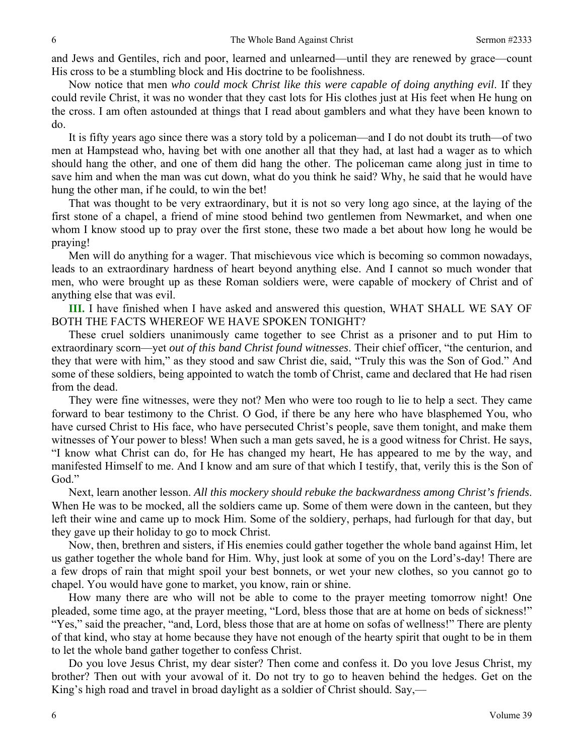and Jews and Gentiles, rich and poor, learned and unlearned—until they are renewed by grace—count His cross to be a stumbling block and His doctrine to be foolishness.

Now notice that men *who could mock Christ like this were capable of doing anything evil*. If they could revile Christ, it was no wonder that they cast lots for His clothes just at His feet when He hung on the cross. I am often astounded at things that I read about gamblers and what they have been known to do.

It is fifty years ago since there was a story told by a policeman—and I do not doubt its truth—of two men at Hampstead who, having bet with one another all that they had, at last had a wager as to which should hang the other, and one of them did hang the other. The policeman came along just in time to save him and when the man was cut down, what do you think he said? Why, he said that he would have hung the other man, if he could, to win the bet!

That was thought to be very extraordinary, but it is not so very long ago since, at the laying of the first stone of a chapel, a friend of mine stood behind two gentlemen from Newmarket, and when one whom I know stood up to pray over the first stone, these two made a bet about how long he would be praying!

Men will do anything for a wager. That mischievous vice which is becoming so common nowadays, leads to an extraordinary hardness of heart beyond anything else. And I cannot so much wonder that men, who were brought up as these Roman soldiers were, were capable of mockery of Christ and of anything else that was evil.

**III.** I have finished when I have asked and answered this question, WHAT SHALL WE SAY OF BOTH THE FACTS WHEREOF WE HAVE SPOKEN TONIGHT?

These cruel soldiers unanimously came together to see Christ as a prisoner and to put Him to extraordinary scorn—yet *out of this band Christ found witnesses*. Their chief officer, "the centurion, and they that were with him," as they stood and saw Christ die, said, "Truly this was the Son of God." And some of these soldiers, being appointed to watch the tomb of Christ, came and declared that He had risen from the dead.

They were fine witnesses, were they not? Men who were too rough to lie to help a sect. They came forward to bear testimony to the Christ. O God, if there be any here who have blasphemed You, who have cursed Christ to His face, who have persecuted Christ's people, save them tonight, and make them witnesses of Your power to bless! When such a man gets saved, he is a good witness for Christ. He says, "I know what Christ can do, for He has changed my heart, He has appeared to me by the way, and manifested Himself to me. And I know and am sure of that which I testify, that, verily this is the Son of God."

Next, learn another lesson. *All this mockery should rebuke the backwardness among Christ's friends*. When He was to be mocked, all the soldiers came up. Some of them were down in the canteen, but they left their wine and came up to mock Him. Some of the soldiery, perhaps, had furlough for that day, but they gave up their holiday to go to mock Christ.

Now, then, brethren and sisters, if His enemies could gather together the whole band against Him, let us gather together the whole band for Him. Why, just look at some of you on the Lord's-day! There are a few drops of rain that might spoil your best bonnets, or wet your new clothes, so you cannot go to chapel. You would have gone to market, you know, rain or shine.

How many there are who will not be able to come to the prayer meeting tomorrow night! One pleaded, some time ago, at the prayer meeting, "Lord, bless those that are at home on beds of sickness!" "Yes," said the preacher, "and, Lord, bless those that are at home on sofas of wellness!" There are plenty of that kind, who stay at home because they have not enough of the hearty spirit that ought to be in them to let the whole band gather together to confess Christ.

Do you love Jesus Christ, my dear sister? Then come and confess it. Do you love Jesus Christ, my brother? Then out with your avowal of it. Do not try to go to heaven behind the hedges. Get on the King's high road and travel in broad daylight as a soldier of Christ should. Say,—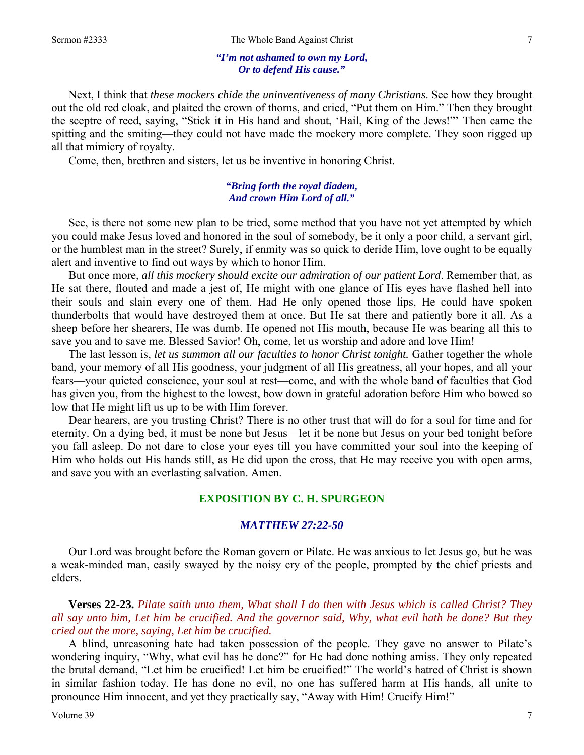#### *"I'm not ashamed to own my Lord, Or to defend His cause."*

Next, I think that *these mockers chide the uninventiveness of many Christians*. See how they brought out the old red cloak, and plaited the crown of thorns, and cried, "Put them on Him." Then they brought the sceptre of reed, saying, "Stick it in His hand and shout, 'Hail, King of the Jews!"' Then came the spitting and the smiting—they could not have made the mockery more complete. They soon rigged up all that mimicry of royalty.

Come, then, brethren and sisters, let us be inventive in honoring Christ.

#### *"Bring forth the royal diadem, And crown Him Lord of all."*

See, is there not some new plan to be tried, some method that you have not yet attempted by which you could make Jesus loved and honored in the soul of somebody, be it only a poor child, a servant girl, or the humblest man in the street? Surely, if enmity was so quick to deride Him, love ought to be equally alert and inventive to find out ways by which to honor Him.

But once more, *all this mockery should excite our admiration of our patient Lord*. Remember that, as He sat there, flouted and made a jest of, He might with one glance of His eyes have flashed hell into their souls and slain every one of them. Had He only opened those lips, He could have spoken thunderbolts that would have destroyed them at once. But He sat there and patiently bore it all. As a sheep before her shearers, He was dumb. He opened not His mouth, because He was bearing all this to save you and to save me. Blessed Savior! Oh, come, let us worship and adore and love Him!

The last lesson is, *let us summon all our faculties to honor Christ tonight.* Gather together the whole band, your memory of all His goodness, your judgment of all His greatness, all your hopes, and all your fears—your quieted conscience, your soul at rest—come, and with the whole band of faculties that God has given you, from the highest to the lowest, bow down in grateful adoration before Him who bowed so low that He might lift us up to be with Him forever.

Dear hearers, are you trusting Christ? There is no other trust that will do for a soul for time and for eternity. On a dying bed, it must be none but Jesus—let it be none but Jesus on your bed tonight before you fall asleep. Do not dare to close your eyes till you have committed your soul into the keeping of Him who holds out His hands still, as He did upon the cross, that He may receive you with open arms, and save you with an everlasting salvation. Amen.

#### **EXPOSITION BY C. H. SPURGEON**

#### *MATTHEW 27:22-50*

Our Lord was brought before the Roman govern or Pilate. He was anxious to let Jesus go, but he was a weak-minded man, easily swayed by the noisy cry of the people, prompted by the chief priests and elders.

**Verses 22-23.** *Pilate saith unto them, What shall I do then with Jesus which is called Christ? They all say unto him, Let him be crucified. And the governor said, Why, what evil hath he done? But they cried out the more, saying, Let him be crucified.* 

A blind, unreasoning hate had taken possession of the people. They gave no answer to Pilate's wondering inquiry, "Why, what evil has he done?" for He had done nothing amiss. They only repeated the brutal demand, "Let him be crucified! Let him be crucified!" The world's hatred of Christ is shown in similar fashion today. He has done no evil, no one has suffered harm at His hands, all unite to pronounce Him innocent, and yet they practically say, "Away with Him! Crucify Him!"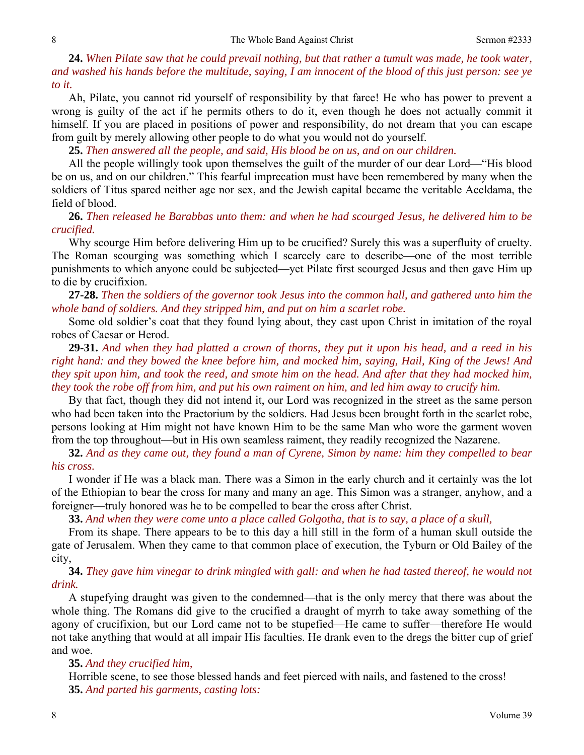**24.** *When Pilate saw that he could prevail nothing, but that rather a tumult was made, he took water, and washed his hands before the multitude, saying, I am innocent of the blood of this just person: see ye to it.* 

Ah, Pilate, you cannot rid yourself of responsibility by that farce! He who has power to prevent a wrong is guilty of the act if he permits others to do it, even though he does not actually commit it himself. If you are placed in positions of power and responsibility, do not dream that you can escape from guilt by merely allowing other people to do what you would not do yourself.

**25.** *Then answered all the people, and said, His blood be on us, and on our children.* 

All the people willingly took upon themselves the guilt of the murder of our dear Lord—"His blood be on us, and on our children." This fearful imprecation must have been remembered by many when the soldiers of Titus spared neither age nor sex, and the Jewish capital became the veritable Aceldama, the field of blood.

**26.** *Then released he Barabbas unto them: and when he had scourged Jesus, he delivered him to be crucified.* 

Why scourge Him before delivering Him up to be crucified? Surely this was a superfluity of cruelty. The Roman scourging was something which I scarcely care to describe—one of the most terrible punishments to which anyone could be subjected—yet Pilate first scourged Jesus and then gave Him up to die by crucifixion.

**27-28.** *Then the soldiers of the governor took Jesus into the common hall, and gathered unto him the whole band of soldiers. And they stripped him, and put on him a scarlet robe.* 

Some old soldier's coat that they found lying about, they cast upon Christ in imitation of the royal robes of Caesar or Herod.

**29-31.** *And when they had platted a crown of thorns, they put it upon his head, and a reed in his right hand: and they bowed the knee before him, and mocked him, saying, Hail, King of the Jews! And they spit upon him, and took the reed, and smote him on the head. And after that they had mocked him, they took the robe off from him, and put his own raiment on him, and led him away to crucify him.* 

By that fact, though they did not intend it, our Lord was recognized in the street as the same person who had been taken into the Praetorium by the soldiers. Had Jesus been brought forth in the scarlet robe, persons looking at Him might not have known Him to be the same Man who wore the garment woven from the top throughout—but in His own seamless raiment, they readily recognized the Nazarene.

**32.** *And as they came out, they found a man of Cyrene, Simon by name: him they compelled to bear his cross.* 

I wonder if He was a black man. There was a Simon in the early church and it certainly was the lot of the Ethiopian to bear the cross for many and many an age. This Simon was a stranger, anyhow, and a foreigner—truly honored was he to be compelled to bear the cross after Christ.

**33.** *And when they were come unto a place called Golgotha, that is to say, a place of a skull,* 

From its shape. There appears to be to this day a hill still in the form of a human skull outside the gate of Jerusalem. When they came to that common place of execution, the Tyburn or Old Bailey of the city,

**34.** *They gave him vinegar to drink mingled with gall: and when he had tasted thereof, he would not drink.* 

A stupefying draught was given to the condemned—that is the only mercy that there was about the whole thing. The Romans did give to the crucified a draught of myrrh to take away something of the agony of crucifixion, but our Lord came not to be stupefied—He came to suffer—therefore He would not take anything that would at all impair His faculties. He drank even to the dregs the bitter cup of grief and woe.

#### **35.** *And they crucified him,*

Horrible scene, to see those blessed hands and feet pierced with nails, and fastened to the cross! **35.** *And parted his garments, casting lots:*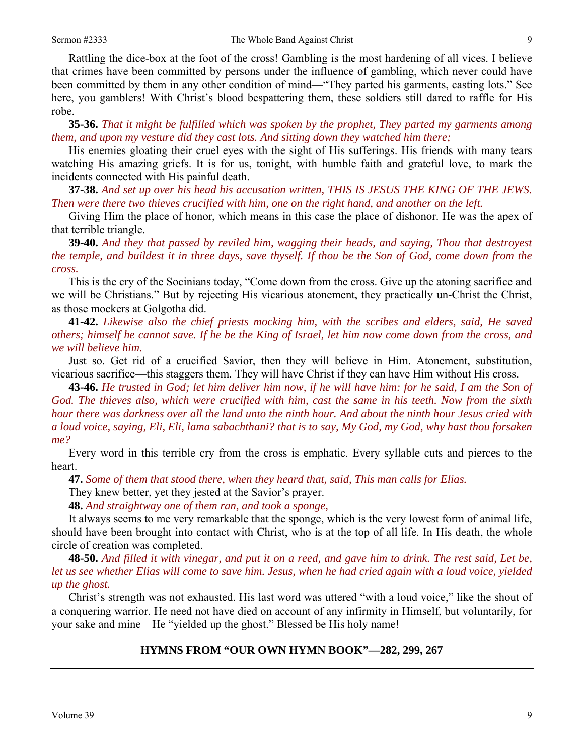Rattling the dice-box at the foot of the cross! Gambling is the most hardening of all vices. I believe that crimes have been committed by persons under the influence of gambling, which never could have been committed by them in any other condition of mind—"They parted his garments, casting lots." See here, you gamblers! With Christ's blood bespattering them, these soldiers still dared to raffle for His robe.

**35-36.** *That it might be fulfilled which was spoken by the prophet, They parted my garments among them, and upon my vesture did they cast lots. And sitting down they watched him there;* 

His enemies gloating their cruel eyes with the sight of His sufferings. His friends with many tears watching His amazing griefs. It is for us, tonight, with humble faith and grateful love, to mark the incidents connected with His painful death.

**37-38.** *And set up over his head his accusation written, THIS IS JESUS THE KING OF THE JEWS. Then were there two thieves crucified with him, one on the right hand, and another on the left.* 

Giving Him the place of honor, which means in this case the place of dishonor. He was the apex of that terrible triangle.

**39-40.** *And they that passed by reviled him, wagging their heads, and saying, Thou that destroyest the temple, and buildest it in three days, save thyself. If thou be the Son of God, come down from the cross.* 

This is the cry of the Socinians today, "Come down from the cross. Give up the atoning sacrifice and we will be Christians." But by rejecting His vicarious atonement, they practically un-Christ the Christ, as those mockers at Golgotha did.

**41-42.** *Likewise also the chief priests mocking him, with the scribes and elders, said, He saved others; himself he cannot save. If he be the King of Israel, let him now come down from the cross, and we will believe him.* 

Just so. Get rid of a crucified Savior, then they will believe in Him. Atonement, substitution, vicarious sacrifice—this staggers them. They will have Christ if they can have Him without His cross.

**43-46.** *He trusted in God; let him deliver him now, if he will have him: for he said, I am the Son of God. The thieves also, which were crucified with him, cast the same in his teeth. Now from the sixth hour there was darkness over all the land unto the ninth hour. And about the ninth hour Jesus cried with a loud voice, saying, Eli, Eli, lama sabachthani? that is to say, My God, my God, why hast thou forsaken me?* 

Every word in this terrible cry from the cross is emphatic. Every syllable cuts and pierces to the heart.

**47.** *Some of them that stood there, when they heard that, said, This man calls for Elias.* 

They knew better, yet they jested at the Savior's prayer.

**48.** *And straightway one of them ran, and took a sponge,* 

It always seems to me very remarkable that the sponge, which is the very lowest form of animal life, should have been brought into contact with Christ, who is at the top of all life. In His death, the whole circle of creation was completed.

**48-50.** *And filled it with vinegar, and put it on a reed, and gave him to drink. The rest said, Let be, let us see whether Elias will come to save him. Jesus, when he had cried again with a loud voice, yielded up the ghost.* 

Christ's strength was not exhausted. His last word was uttered "with a loud voice," like the shout of a conquering warrior. He need not have died on account of any infirmity in Himself, but voluntarily, for your sake and mine—He "yielded up the ghost." Blessed be His holy name!

### **HYMNS FROM "OUR OWN HYMN BOOK"—282, 299, 267**